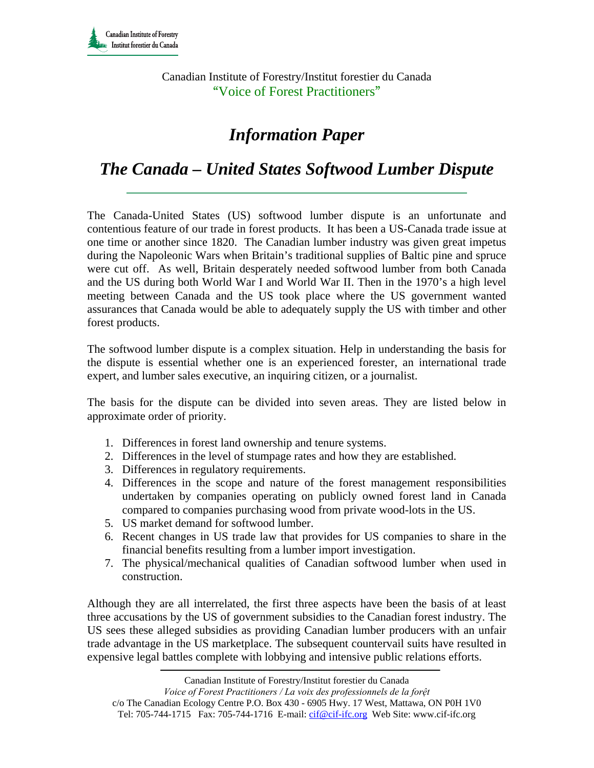Canadian Institute of Forestry/Institut forestier du Canada "Voice of Forest Practitioners"

# *Information Paper*

## *The Canada – United States Softwood Lumber Dispute*

The Canada-United States (US) softwood lumber dispute is an unfortunate and contentious feature of our trade in forest products. It has been a US-Canada trade issue at one time or another since 1820. The Canadian lumber industry was given great impetus during the Napoleonic Wars when Britain's traditional supplies of Baltic pine and spruce were cut off. As well, Britain desperately needed softwood lumber from both Canada and the US during both World War I and World War II. Then in the 1970's a high level meeting between Canada and the US took place where the US government wanted assurances that Canada would be able to adequately supply the US with timber and other forest products.

The softwood lumber dispute is a complex situation. Help in understanding the basis for the dispute is essential whether one is an experienced forester, an international trade expert, and lumber sales executive, an inquiring citizen, or a journalist.

The basis for the dispute can be divided into seven areas. They are listed below in approximate order of priority.

- 1. Differences in forest land ownership and tenure systems.
- 2. Differences in the level of stumpage rates and how they are established.
- 3. Differences in regulatory requirements.
- 4. Differences in the scope and nature of the forest management responsibilities undertaken by companies operating on publicly owned forest land in Canada compared to companies purchasing wood from private wood-lots in the US.
- 5. US market demand for softwood lumber.
- 6. Recent changes in US trade law that provides for US companies to share in the financial benefits resulting from a lumber import investigation.
- 7. The physical/mechanical qualities of Canadian softwood lumber when used in construction.

Although they are all interrelated, the first three aspects have been the basis of at least three accusations by the US of government subsidies to the Canadian forest industry. The US sees these alleged subsidies as providing Canadian lumber producers with an unfair trade advantage in the US marketplace. The subsequent countervail suits have resulted in expensive legal battles complete with lobbying and intensive public relations efforts.

Tel: 705-744-1715 Fax: 705-744-1716 E-mail: cif@cif-ifc.org Web Site: www.cif-ifc.org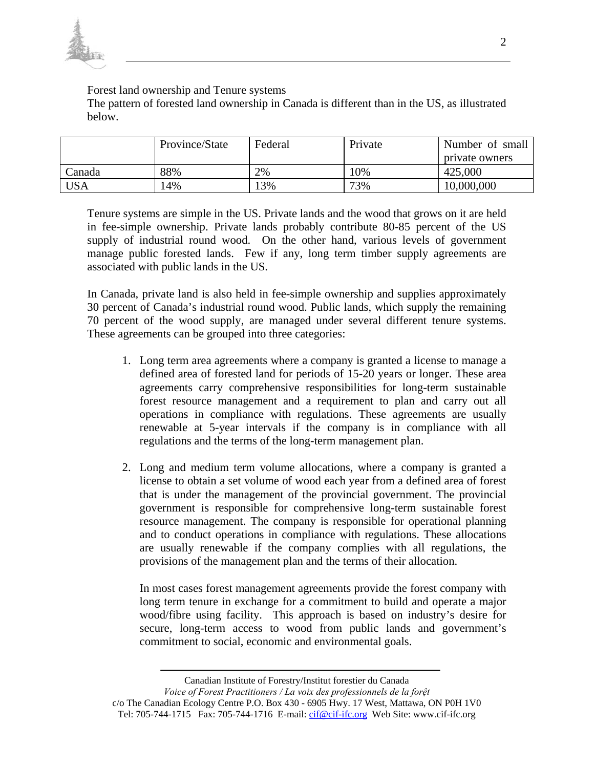

Forest land ownership and Tenure systems

The pattern of forested land ownership in Canada is different than in the US, as illustrated below.

|        | Province/State | Federal | Private | Number of small<br>private owners |
|--------|----------------|---------|---------|-----------------------------------|
| Canada | 88%            | 2%      | 10%     | 425,000                           |
| USA    | 4%             | ! 3%    | 73%     | 10,000,000                        |

Tenure systems are simple in the US. Private lands and the wood that grows on it are held in fee-simple ownership. Private lands probably contribute 80-85 percent of the US supply of industrial round wood. On the other hand, various levels of government manage public forested lands. Few if any, long term timber supply agreements are associated with public lands in the US.

In Canada, private land is also held in fee-simple ownership and supplies approximately 30 percent of Canada's industrial round wood. Public lands, which supply the remaining 70 percent of the wood supply, are managed under several different tenure systems. These agreements can be grouped into three categories:

- 1. Long term area agreements where a company is granted a license to manage a defined area of forested land for periods of 15-20 years or longer. These area agreements carry comprehensive responsibilities for long-term sustainable forest resource management and a requirement to plan and carry out all operations in compliance with regulations. These agreements are usually renewable at 5-year intervals if the company is in compliance with all regulations and the terms of the long-term management plan.
- 2. Long and medium term volume allocations, where a company is granted a license to obtain a set volume of wood each year from a defined area of forest that is under the management of the provincial government. The provincial government is responsible for comprehensive long-term sustainable forest resource management. The company is responsible for operational planning and to conduct operations in compliance with regulations. These allocations are usually renewable if the company complies with all regulations, the provisions of the management plan and the terms of their allocation.

In most cases forest management agreements provide the forest company with long term tenure in exchange for a commitment to build and operate a major wood/fibre using facility. This approach is based on industry's desire for secure, long-term access to wood from public lands and government's commitment to social, economic and environmental goals.

Canadian Institute of Forestry/Institut forestier du Canada

*Voice of Forest Practitioners / La voix des professionnels de la forệt*  c/o The Canadian Ecology Centre P.O. Box 430 - 6905 Hwy. 17 West, Mattawa, ON P0H 1V0 Tel: 705-744-1715 Fax: 705-744-1716 E-mail: cif@cif-ifc.org Web Site: www.cif-ifc.org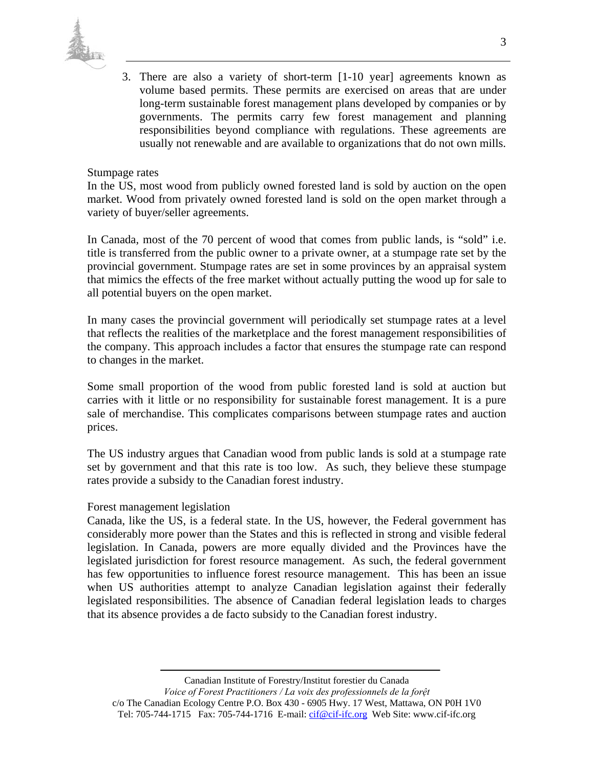

3. There are also a variety of short-term [1-10 year] agreements known as volume based permits. These permits are exercised on areas that are under long-term sustainable forest management plans developed by companies or by governments. The permits carry few forest management and planning responsibilities beyond compliance with regulations. These agreements are usually not renewable and are available to organizations that do not own mills.

#### Stumpage rates

In the US, most wood from publicly owned forested land is sold by auction on the open market. Wood from privately owned forested land is sold on the open market through a variety of buyer/seller agreements.

In Canada, most of the 70 percent of wood that comes from public lands, is "sold" i.e. title is transferred from the public owner to a private owner, at a stumpage rate set by the provincial government. Stumpage rates are set in some provinces by an appraisal system that mimics the effects of the free market without actually putting the wood up for sale to all potential buyers on the open market.

In many cases the provincial government will periodically set stumpage rates at a level that reflects the realities of the marketplace and the forest management responsibilities of the company. This approach includes a factor that ensures the stumpage rate can respond to changes in the market.

Some small proportion of the wood from public forested land is sold at auction but carries with it little or no responsibility for sustainable forest management. It is a pure sale of merchandise. This complicates comparisons between stumpage rates and auction prices.

The US industry argues that Canadian wood from public lands is sold at a stumpage rate set by government and that this rate is too low. As such, they believe these stumpage rates provide a subsidy to the Canadian forest industry.

#### Forest management legislation

Canada, like the US, is a federal state. In the US, however, the Federal government has considerably more power than the States and this is reflected in strong and visible federal legislation. In Canada, powers are more equally divided and the Provinces have the legislated jurisdiction for forest resource management. As such, the federal government has few opportunities to influence forest resource management. This has been an issue when US authorities attempt to analyze Canadian legislation against their federally legislated responsibilities. The absence of Canadian federal legislation leads to charges that its absence provides a de facto subsidy to the Canadian forest industry.

Canadian Institute of Forestry/Institut forestier du Canada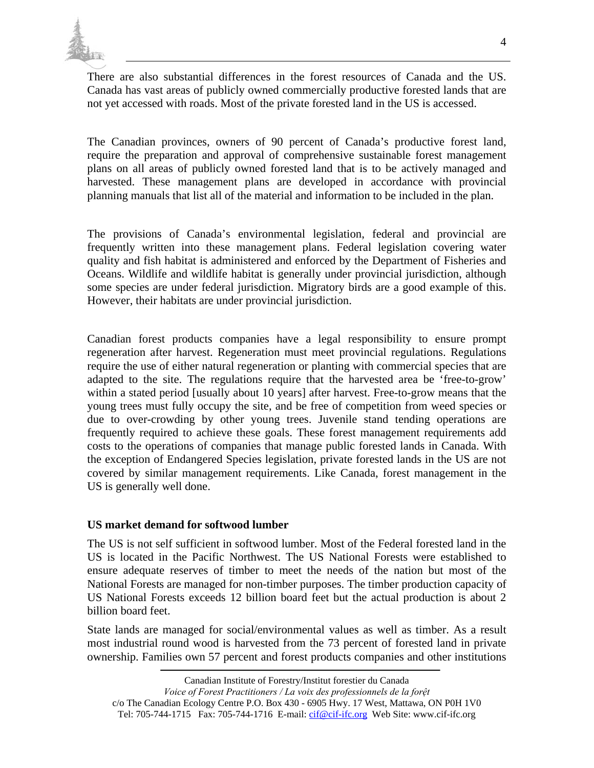

There are also substantial differences in the forest resources of Canada and the US. Canada has vast areas of publicly owned commercially productive forested lands that are not yet accessed with roads. Most of the private forested land in the US is accessed.

The Canadian provinces, owners of 90 percent of Canada's productive forest land, require the preparation and approval of comprehensive sustainable forest management plans on all areas of publicly owned forested land that is to be actively managed and harvested. These management plans are developed in accordance with provincial planning manuals that list all of the material and information to be included in the plan.

The provisions of Canada's environmental legislation, federal and provincial are frequently written into these management plans. Federal legislation covering water quality and fish habitat is administered and enforced by the Department of Fisheries and Oceans. Wildlife and wildlife habitat is generally under provincial jurisdiction, although some species are under federal jurisdiction. Migratory birds are a good example of this. However, their habitats are under provincial jurisdiction.

Canadian forest products companies have a legal responsibility to ensure prompt regeneration after harvest. Regeneration must meet provincial regulations. Regulations require the use of either natural regeneration or planting with commercial species that are adapted to the site. The regulations require that the harvested area be 'free-to-grow' within a stated period [usually about 10 years] after harvest. Free-to-grow means that the young trees must fully occupy the site, and be free of competition from weed species or due to over-crowding by other young trees. Juvenile stand tending operations are frequently required to achieve these goals. These forest management requirements add costs to the operations of companies that manage public forested lands in Canada. With the exception of Endangered Species legislation, private forested lands in the US are not covered by similar management requirements. Like Canada, forest management in the US is generally well done.

## **US market demand for softwood lumber**

The US is not self sufficient in softwood lumber. Most of the Federal forested land in the US is located in the Pacific Northwest. The US National Forests were established to ensure adequate reserves of timber to meet the needs of the nation but most of the National Forests are managed for non-timber purposes. The timber production capacity of US National Forests exceeds 12 billion board feet but the actual production is about 2 billion board feet.

State lands are managed for social/environmental values as well as timber. As a result most industrial round wood is harvested from the 73 percent of forested land in private ownership. Families own 57 percent and forest products companies and other institutions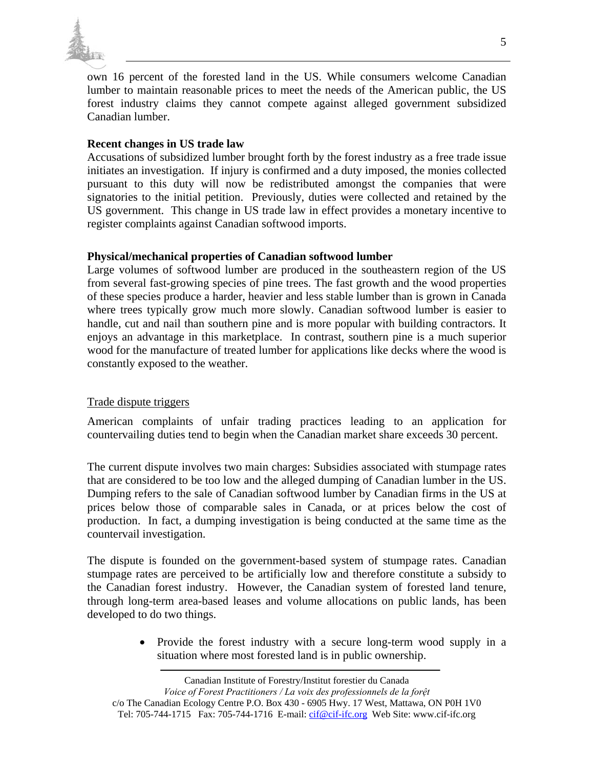

own 16 percent of the forested land in the US. While consumers welcome Canadian lumber to maintain reasonable prices to meet the needs of the American public, the US forest industry claims they cannot compete against alleged government subsidized Canadian lumber.

#### **Recent changes in US trade law**

Accusations of subsidized lumber brought forth by the forest industry as a free trade issue initiates an investigation. If injury is confirmed and a duty imposed, the monies collected pursuant to this duty will now be redistributed amongst the companies that were signatories to the initial petition. Previously, duties were collected and retained by the US government. This change in US trade law in effect provides a monetary incentive to register complaints against Canadian softwood imports.

#### **Physical/mechanical properties of Canadian softwood lumber**

Large volumes of softwood lumber are produced in the southeastern region of the US from several fast-growing species of pine trees. The fast growth and the wood properties of these species produce a harder, heavier and less stable lumber than is grown in Canada where trees typically grow much more slowly. Canadian softwood lumber is easier to handle, cut and nail than southern pine and is more popular with building contractors. It enjoys an advantage in this marketplace. In contrast, southern pine is a much superior wood for the manufacture of treated lumber for applications like decks where the wood is constantly exposed to the weather.

## Trade dispute triggers

American complaints of unfair trading practices leading to an application for countervailing duties tend to begin when the Canadian market share exceeds 30 percent.

The current dispute involves two main charges: Subsidies associated with stumpage rates that are considered to be too low and the alleged dumping of Canadian lumber in the US. Dumping refers to the sale of Canadian softwood lumber by Canadian firms in the US at prices below those of comparable sales in Canada, or at prices below the cost of production. In fact, a dumping investigation is being conducted at the same time as the countervail investigation.

The dispute is founded on the government-based system of stumpage rates. Canadian stumpage rates are perceived to be artificially low and therefore constitute a subsidy to the Canadian forest industry. However, the Canadian system of forested land tenure, through long-term area-based leases and volume allocations on public lands, has been developed to do two things.

> • Provide the forest industry with a secure long-term wood supply in a situation where most forested land is in public ownership.

Canadian Institute of Forestry/Institut forestier du Canada

*Voice of Forest Practitioners / La voix des professionnels de la forệt*  c/o The Canadian Ecology Centre P.O. Box 430 - 6905 Hwy. 17 West, Mattawa, ON P0H 1V0 Tel: 705-744-1715 Fax: 705-744-1716 E-mail: cif@cif-ifc.org Web Site: www.cif-ifc.org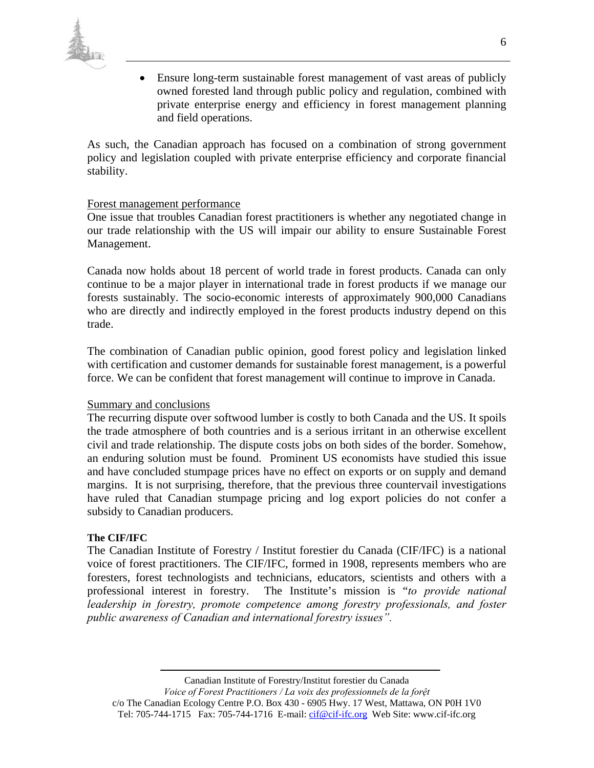

• Ensure long-term sustainable forest management of vast areas of publicly owned forested land through public policy and regulation, combined with private enterprise energy and efficiency in forest management planning and field operations.

As such, the Canadian approach has focused on a combination of strong government policy and legislation coupled with private enterprise efficiency and corporate financial stability.

#### Forest management performance

One issue that troubles Canadian forest practitioners is whether any negotiated change in our trade relationship with the US will impair our ability to ensure Sustainable Forest Management.

Canada now holds about 18 percent of world trade in forest products. Canada can only continue to be a major player in international trade in forest products if we manage our forests sustainably. The socio-economic interests of approximately 900,000 Canadians who are directly and indirectly employed in the forest products industry depend on this trade.

The combination of Canadian public opinion, good forest policy and legislation linked with certification and customer demands for sustainable forest management, is a powerful force. We can be confident that forest management will continue to improve in Canada.

#### Summary and conclusions

The recurring dispute over softwood lumber is costly to both Canada and the US. It spoils the trade atmosphere of both countries and is a serious irritant in an otherwise excellent civil and trade relationship. The dispute costs jobs on both sides of the border. Somehow, an enduring solution must be found. Prominent US economists have studied this issue and have concluded stumpage prices have no effect on exports or on supply and demand margins. It is not surprising, therefore, that the previous three countervail investigations have ruled that Canadian stumpage pricing and log export policies do not confer a subsidy to Canadian producers.

#### **The CIF/IFC**

The Canadian Institute of Forestry / Institut forestier du Canada (CIF/IFC) is a national voice of forest practitioners. The CIF/IFC, formed in 1908, represents members who are foresters, forest technologists and technicians, educators, scientists and others with a professional interest in forestry. The Institute's mission is "*to provide national leadership in forestry, promote competence among forestry professionals, and foster public awareness of Canadian and international forestry issues".* 

Canadian Institute of Forestry/Institut forestier du Canada

*Voice of Forest Practitioners / La voix des professionnels de la forệt*  c/o The Canadian Ecology Centre P.O. Box 430 - 6905 Hwy. 17 West, Mattawa, ON P0H 1V0 Tel: 705-744-1715 Fax: 705-744-1716 E-mail: cif@cif-ifc.org Web Site: www.cif-ifc.org